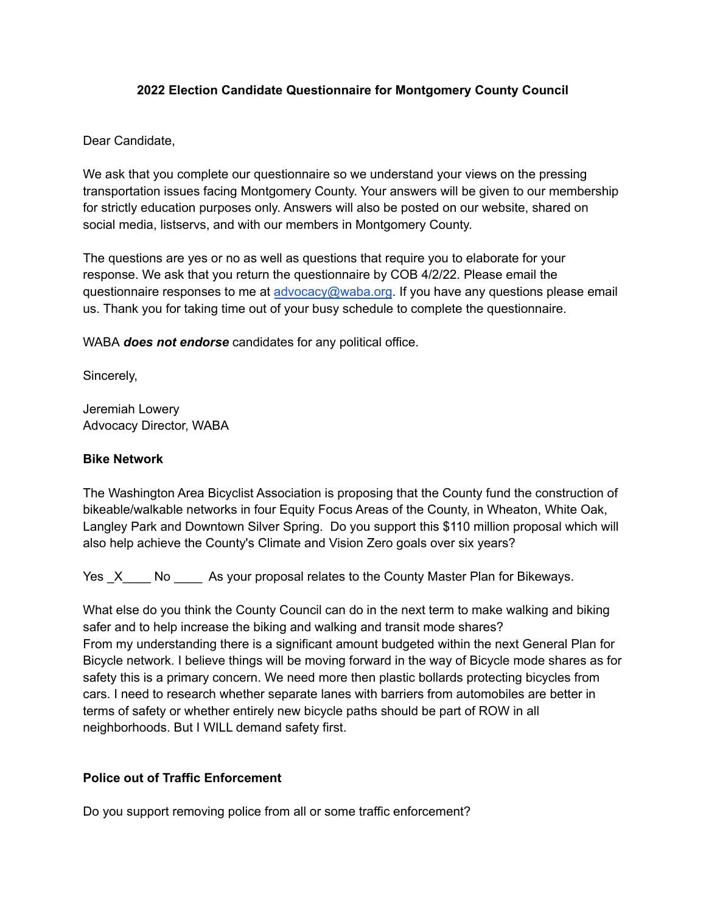### **2022 Election Candidate Questionnaire for Montgomery County Council**

### Dear Candidate,

We ask that you complete our questionnaire so we understand your views on the pressing transportation issues facing Montgomery County. Your answers will be given to our membership for strictly education purposes only. Answers will also be posted on our website, shared on social media, listservs, and with our members in Montgomery County.

The questions are yes or no as well as questions that require you to elaborate for your response. We ask that you return the questionnaire by COB 4/2/22. Please email the questionnaire responses to me at [advocacy@waba.org](mailto:advocacy@waba.org). If you have any questions please email us. Thank you for taking time out of your busy schedule to complete the questionnaire.

WABA *does not endorse* candidates for any political office.

Sincerely,

Jeremiah Lowery Advocacy Director, WABA

## **Bike Network**

The Washington Area Bicyclist Association is proposing that the County fund the construction of bikeable/walkable networks in four Equity Focus Areas of the County, in Wheaton, White Oak, Langley Park and Downtown Silver Spring. Do you support this \$110 million proposal which will also help achieve the County's Climate and Vision Zero goals over six years?

Yes X No As your proposal relates to the County Master Plan for Bikeways.

What else do you think the County Council can do in the next term to make walking and biking safer and to help increase the biking and walking and transit mode shares? From my understanding there is a significant amount budgeted within the next General Plan for Bicycle network. I believe things will be moving forward in the way of Bicycle mode shares as for safety this is a primary concern. We need more then plastic bollards protecting bicycles from cars. I need to research whether separate lanes with barriers from automobiles are better in terms of safety or whether entirely new bicycle paths should be part of ROW in all neighborhoods. But I WILL demand safety first.

### **Police out of Traffic Enforcement**

Do you support removing police from all or some traffic enforcement?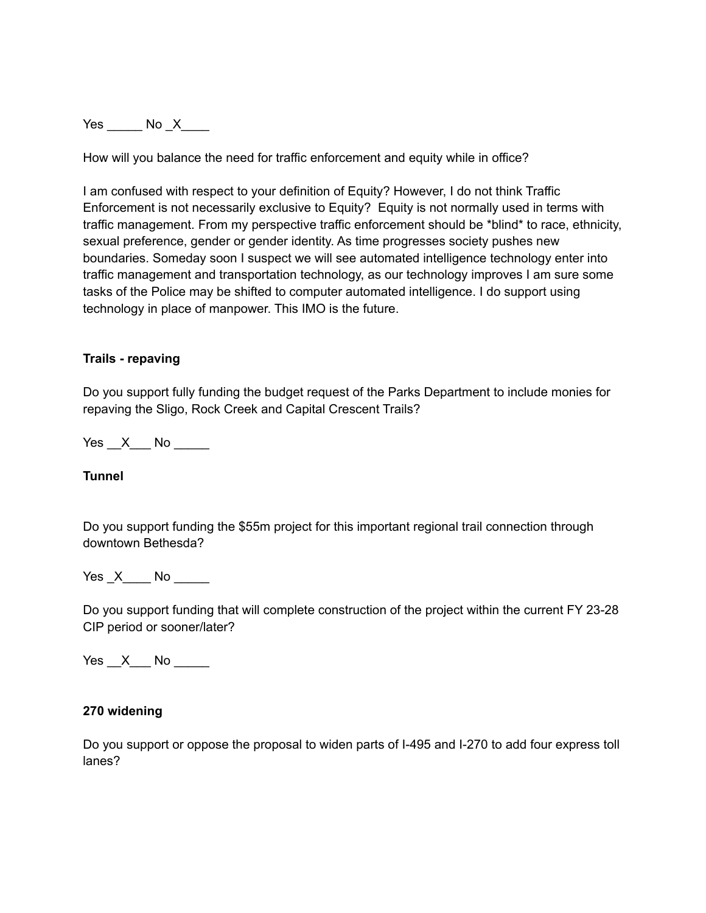Yes \_\_\_\_\_\_ No \_X\_\_\_\_

How will you balance the need for traffic enforcement and equity while in office?

I am confused with respect to your definition of Equity? However, I do not think Traffic Enforcement is not necessarily exclusive to Equity? Equity is not normally used in terms with traffic management. From my perspective traffic enforcement should be \*blind\* to race, ethnicity, sexual preference, gender or gender identity. As time progresses society pushes new boundaries. Someday soon I suspect we will see automated intelligence technology enter into traffic management and transportation technology, as our technology improves I am sure some tasks of the Police may be shifted to computer automated intelligence. I do support using technology in place of manpower. This IMO is the future.

### **Trails - repaving**

Do you support fully funding the budget request of the Parks Department to include monies for repaving the Sligo, Rock Creek and Capital Crescent Trails?

Yes X No  $\blacksquare$ 

**Tunnel**

Do you support funding the \$55m project for this important regional trail connection through downtown Bethesda?

Yes X No No No List

Do you support funding that will complete construction of the project within the current FY 23-28 CIP period or sooner/later?

Yes X No  $\blacksquare$ 

#### **270 widening**

Do you support or oppose the proposal to widen parts of I-495 and I-270 to add four express toll lanes?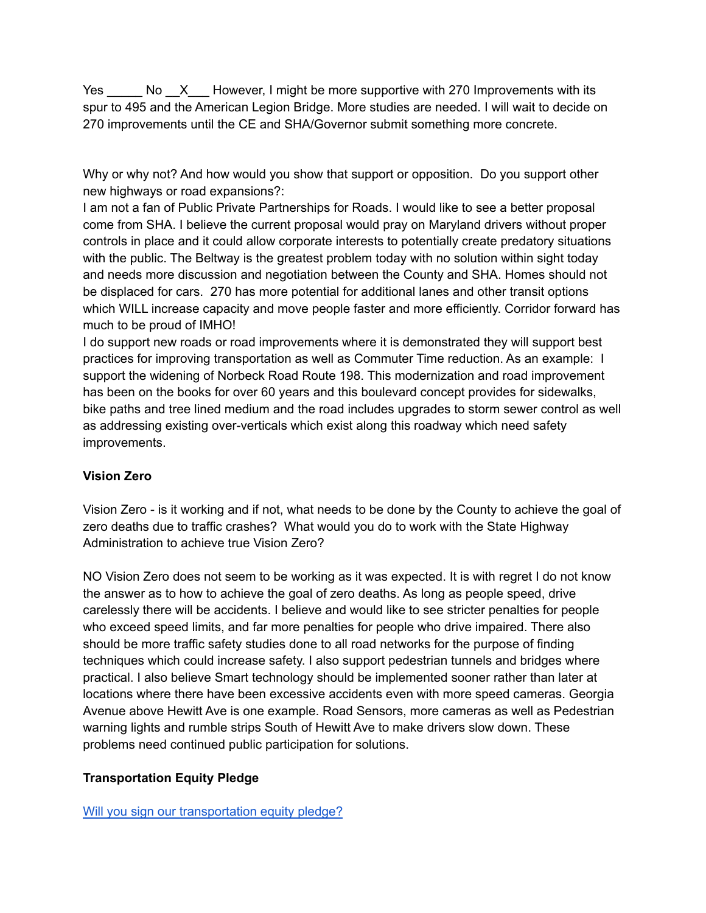Yes No X However, I might be more supportive with 270 Improvements with its spur to 495 and the American Legion Bridge. More studies are needed. I will wait to decide on 270 improvements until the CE and SHA/Governor submit something more concrete.

Why or why not? And how would you show that support or opposition. Do you support other new highways or road expansions?:

I am not a fan of Public Private Partnerships for Roads. I would like to see a better proposal come from SHA. I believe the current proposal would pray on Maryland drivers without proper controls in place and it could allow corporate interests to potentially create predatory situations with the public. The Beltway is the greatest problem today with no solution within sight today and needs more discussion and negotiation between the County and SHA. Homes should not be displaced for cars. 270 has more potential for additional lanes and other transit options which WILL increase capacity and move people faster and more efficiently. Corridor forward has much to be proud of IMHO!

I do support new roads or road improvements where it is demonstrated they will support best practices for improving transportation as well as Commuter Time reduction. As an example: I support the widening of Norbeck Road Route 198. This modernization and road improvement has been on the books for over 60 years and this boulevard concept provides for sidewalks, bike paths and tree lined medium and the road includes upgrades to storm sewer control as well as addressing existing over-verticals which exist along this roadway which need safety improvements.

# **Vision Zero**

Vision Zero - is it working and if not, what needs to be done by the County to achieve the goal of zero deaths due to traffic crashes? What would you do to work with the State Highway Administration to achieve true Vision Zero?

NO Vision Zero does not seem to be working as it was expected. It is with regret I do not know the answer as to how to achieve the goal of zero deaths. As long as people speed, drive carelessly there will be accidents. I believe and would like to see stricter penalties for people who exceed speed limits, and far more penalties for people who drive impaired. There also should be more traffic safety studies done to all road networks for the purpose of finding techniques which could increase safety. I also support pedestrian tunnels and bridges where practical. I also believe Smart technology should be implemented sooner rather than later at locations where there have been excessive accidents even with more speed cameras. Georgia Avenue above Hewitt Ave is one example. Road Sensors, more cameras as well as Pedestrian warning lights and rumble strips South of Hewitt Ave to make drivers slow down. These problems need continued public participation for solutions.

# **Transportation Equity Pledge**

[Will you sign our transportation equity pledge?](https://waba.org/blog/2022/01/transportation-equity-pledge-for-2022-candidates/)